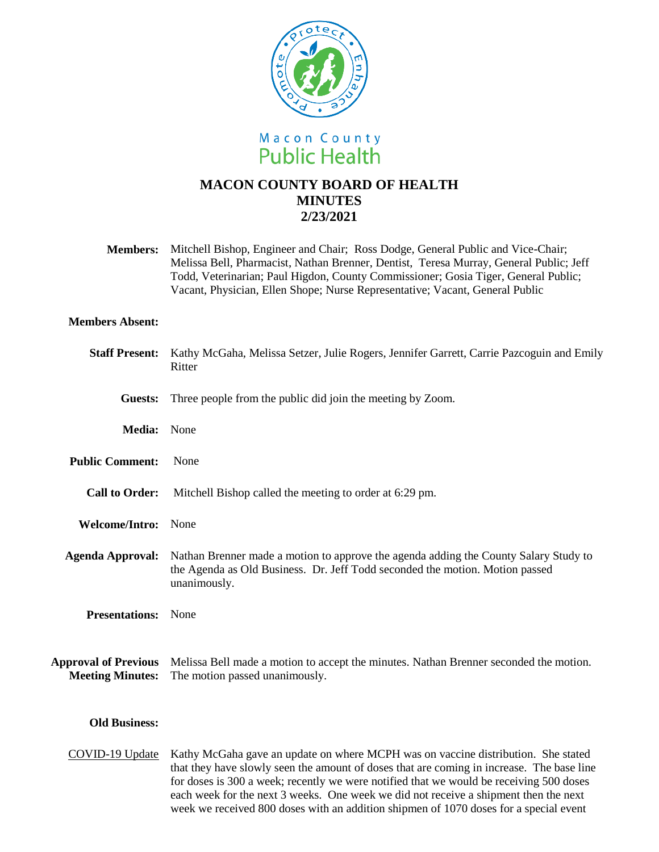

# **MACON COUNTY BOARD OF HEALTH MINUTES 2/23/2021**

**Members:** Mitchell Bishop, Engineer and Chair; Ross Dodge, General Public and Vice-Chair; Melissa Bell, Pharmacist, Nathan Brenner, Dentist, Teresa Murray, General Public; Jeff Todd, Veterinarian; Paul Higdon, County Commissioner; Gosia Tiger, General Public; Vacant, Physician, Ellen Shope; Nurse Representative; Vacant, General Public

## **Members Absent:**

| <b>Staff Present:</b>                                  | Kathy McGaha, Melissa Setzer, Julie Rogers, Jennifer Garrett, Carrie Pazcoguin and Emily<br>Ritter                                                                                   |
|--------------------------------------------------------|--------------------------------------------------------------------------------------------------------------------------------------------------------------------------------------|
| Guests:                                                | Three people from the public did join the meeting by Zoom.                                                                                                                           |
| Media: None                                            |                                                                                                                                                                                      |
| <b>Public Comment:</b>                                 | None                                                                                                                                                                                 |
| <b>Call to Order:</b>                                  | Mitchell Bishop called the meeting to order at 6:29 pm.                                                                                                                              |
| Welcome/Intro: None                                    |                                                                                                                                                                                      |
| <b>Agenda Approval:</b>                                | Nathan Brenner made a motion to approve the agenda adding the County Salary Study to<br>the Agenda as Old Business. Dr. Jeff Todd seconded the motion. Motion passed<br>unanimously. |
| <b>Presentations:</b>                                  | None                                                                                                                                                                                 |
| <b>Approval of Previous</b><br><b>Meeting Minutes:</b> | Melissa Bell made a motion to accept the minutes. Nathan Brenner seconded the motion.<br>The motion passed unanimously.                                                              |
| <b>Old Business:</b>                                   |                                                                                                                                                                                      |

COVID-19 Update Kathy McGaha gave an update on where MCPH was on vaccine distribution. She stated that they have slowly seen the amount of doses that are coming in increase. The base line for doses is 300 a week; recently we were notified that we would be receiving 500 doses each week for the next 3 weeks. One week we did not receive a shipment then the next week we received 800 doses with an addition shipmen of 1070 doses for a special event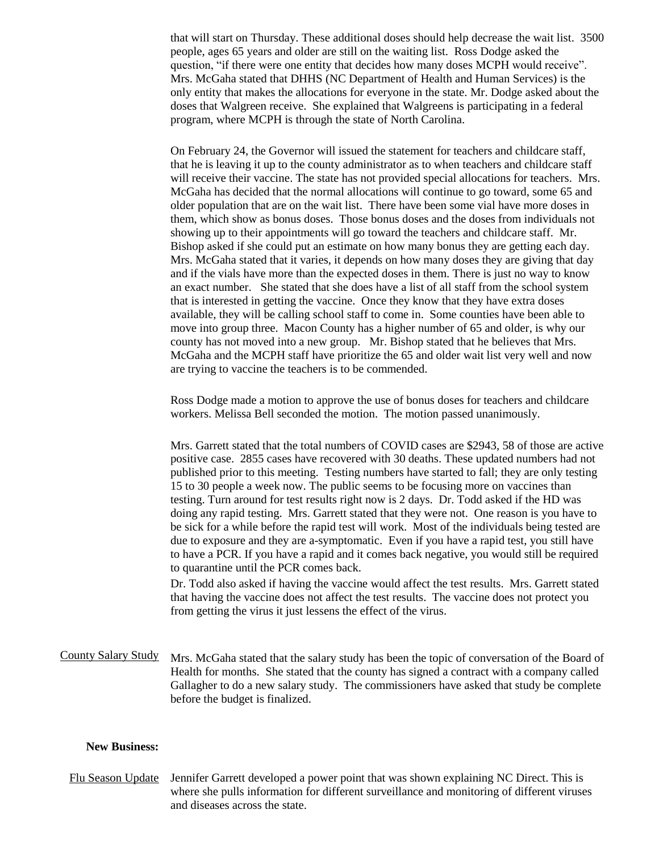that will start on Thursday. These additional doses should help decrease the wait list. 3500 people, ages 65 years and older are still on the waiting list. Ross Dodge asked the question, "if there were one entity that decides how many doses MCPH would receive". Mrs. McGaha stated that DHHS (NC Department of Health and Human Services) is the only entity that makes the allocations for everyone in the state. Mr. Dodge asked about the doses that Walgreen receive. She explained that Walgreens is participating in a federal program, where MCPH is through the state of North Carolina.

On February 24, the Governor will issued the statement for teachers and childcare staff, that he is leaving it up to the county administrator as to when teachers and childcare staff will receive their vaccine. The state has not provided special allocations for teachers. Mrs. McGaha has decided that the normal allocations will continue to go toward, some 65 and older population that are on the wait list. There have been some vial have more doses in them, which show as bonus doses. Those bonus doses and the doses from individuals not showing up to their appointments will go toward the teachers and childcare staff. Mr. Bishop asked if she could put an estimate on how many bonus they are getting each day. Mrs. McGaha stated that it varies, it depends on how many doses they are giving that day and if the vials have more than the expected doses in them. There is just no way to know an exact number. She stated that she does have a list of all staff from the school system that is interested in getting the vaccine. Once they know that they have extra doses available, they will be calling school staff to come in. Some counties have been able to move into group three. Macon County has a higher number of 65 and older, is why our county has not moved into a new group. Mr. Bishop stated that he believes that Mrs. McGaha and the MCPH staff have prioritize the 65 and older wait list very well and now are trying to vaccine the teachers is to be commended.

Ross Dodge made a motion to approve the use of bonus doses for teachers and childcare workers. Melissa Bell seconded the motion. The motion passed unanimously.

Mrs. Garrett stated that the total numbers of COVID cases are \$2943, 58 of those are active positive case. 2855 cases have recovered with 30 deaths. These updated numbers had not published prior to this meeting. Testing numbers have started to fall; they are only testing 15 to 30 people a week now. The public seems to be focusing more on vaccines than testing. Turn around for test results right now is 2 days. Dr. Todd asked if the HD was doing any rapid testing. Mrs. Garrett stated that they were not. One reason is you have to be sick for a while before the rapid test will work. Most of the individuals being tested are due to exposure and they are a-symptomatic. Even if you have a rapid test, you still have to have a PCR. If you have a rapid and it comes back negative, you would still be required to quarantine until the PCR comes back.

Dr. Todd also asked if having the vaccine would affect the test results. Mrs. Garrett stated that having the vaccine does not affect the test results. The vaccine does not protect you from getting the virus it just lessens the effect of the virus.

# County Salary Study Mrs. McGaha stated that the salary study has been the topic of conversation of the Board of Health for months. She stated that the county has signed a contract with a company called Gallagher to do a new salary study. The commissioners have asked that study be complete before the budget is finalized.

#### **New Business:**

Flu Season Update Jennifer Garrett developed a power point that was shown explaining NC Direct. This is where she pulls information for different surveillance and monitoring of different viruses and diseases across the state.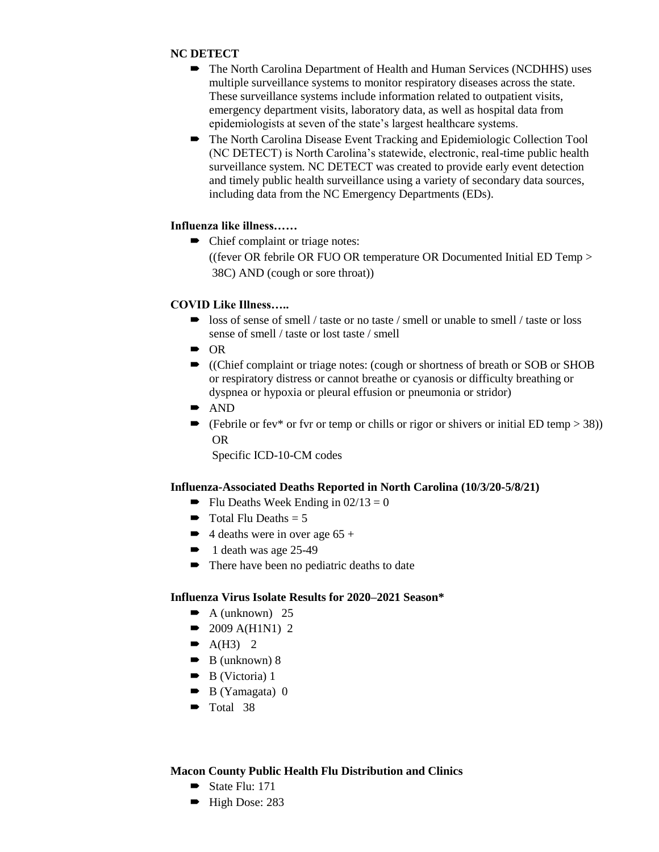# **NC DETECT**

- The North Carolina Department of Health and Human Services (NCDHHS) uses multiple surveillance systems to monitor respiratory diseases across the state. These surveillance systems include information related to outpatient visits, emergency department visits, laboratory data, as well as hospital data from epidemiologists at seven of the state's largest healthcare systems.
- The North Carolina Disease Event Tracking and Epidemiologic Collection Tool (NC DETECT) is North Carolina's statewide, electronic, real-time public health surveillance system. NC DETECT was created to provide early event detection and timely public health surveillance using a variety of secondary data sources, including data from the NC Emergency Departments (EDs).

### **Influenza like illness……**

• Chief complaint or triage notes:

((fever OR febrile OR FUO OR temperature OR Documented Initial ED Temp > 38C) AND (cough or sore throat))

### **COVID Like Illness…..**

- loss of sense of smell / taste or no taste / smell or unable to smell / taste or loss sense of smell / taste or lost taste / smell
- $\bullet$  OR
- ((Chief complaint or triage notes: (cough or shortness of breath or SOB or SHOB or respiratory distress or cannot breathe or cyanosis or difficulty breathing or dyspnea or hypoxia or pleural effusion or pneumonia or stridor)
- AND
- $\blacktriangleright$  (Febrile or fev\* or fvr or temp or chills or rigor or shivers or initial ED temp > 38)) OR

Specific ICD-10-CM codes

#### **Influenza-Associated Deaths Reported in North Carolina (10/3/20-5/8/21)**

- $\blacksquare$  Flu Deaths Week Ending in 02/13 = 0
- $\blacksquare$  Total Flu Deaths = 5
- $\blacktriangleright$  4 deaths were in over age 65 +
- $\bullet$  1 death was age 25-49
- There have been no pediatric deaths to date

## **Influenza Virus Isolate Results for 2020–2021 Season\***

- $\blacktriangleright$  A (unknown) 25
- $\bullet$  2009 A(H1N1) 2
- $\blacktriangleright$  A(H3) 2
- $\bullet$  B (unknown) 8
- $\bullet$  B (Victoria) 1
- $\bullet$  B (Yamagata) 0
- $\blacksquare$  Total 38

#### **Macon County Public Health Flu Distribution and Clinics**

- State Flu: 171
- $\blacktriangleright$  High Dose: 283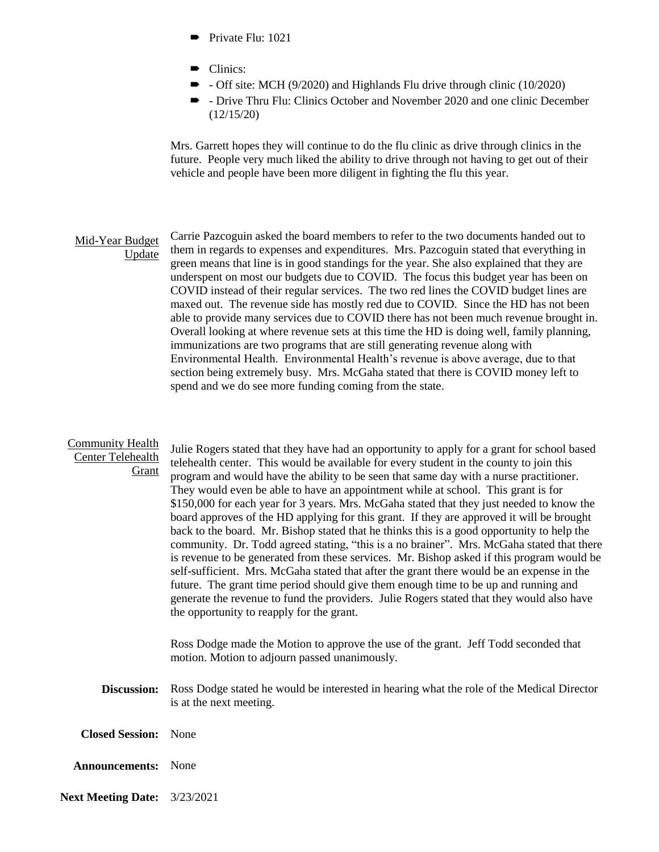- $\blacksquare$  Private Flu: 1021
- Clinics:
- - Off site: MCH (9/2020) and Highlands Flu drive through clinic (10/2020)
- Drive Thru Flu: Clinics October and November 2020 and one clinic December (12/15/20)

Mrs. Garrett hopes they will continue to do the flu clinic as drive through clinics in the future. People very much liked the ability to drive through not having to get out of their vehicle and people have been more diligent in fighting the flu this year.

#### Mid-Year Budget Update Carrie Pazcoguin asked the board members to refer to the two documents handed out to them in regards to expenses and expenditures. Mrs. Pazcoguin stated that everything in green means that line is in good standings for the year. She also explained that they are underspent on most our budgets due to COVID. The focus this budget year has been on COVID instead of their regular services. The two red lines the COVID budget lines are maxed out. The revenue side has mostly red due to COVID. Since the HD has not been able to provide many services due to COVID there has not been much revenue brought in. Overall looking at where revenue sets at this time the HD is doing well, family planning, immunizations are two programs that are still generating revenue along with Environmental Health. Environmental Health's revenue is above average, due to that section being extremely busy. Mrs. McGaha stated that there is COVID money left to spend and we do see more funding coming from the state.

#### Community Health Center Telehealth

Grant

Julie Rogers stated that they have had an opportunity to apply for a grant for school based telehealth center. This would be available for every student in the county to join this program and would have the ability to be seen that same day with a nurse practitioner. They would even be able to have an appointment while at school. This grant is for \$150,000 for each year for 3 years. Mrs. McGaha stated that they just needed to know the board approves of the HD applying for this grant. If they are approved it will be brought back to the board. Mr. Bishop stated that he thinks this is a good opportunity to help the community. Dr. Todd agreed stating, "this is a no brainer". Mrs. McGaha stated that there is revenue to be generated from these services. Mr. Bishop asked if this program would be self-sufficient. Mrs. McGaha stated that after the grant there would be an expense in the future. The grant time period should give them enough time to be up and running and generate the revenue to fund the providers. Julie Rogers stated that they would also have the opportunity to reapply for the grant.

Ross Dodge made the Motion to approve the use of the grant. Jeff Todd seconded that motion. Motion to adjourn passed unanimously.

- **Discussion:** Ross Dodge stated he would be interested in hearing what the role of the Medical Director is at the next meeting.
- **Closed Session:** None
- **Announcements:** None
- **Next Meeting Date:** 3/23/2021